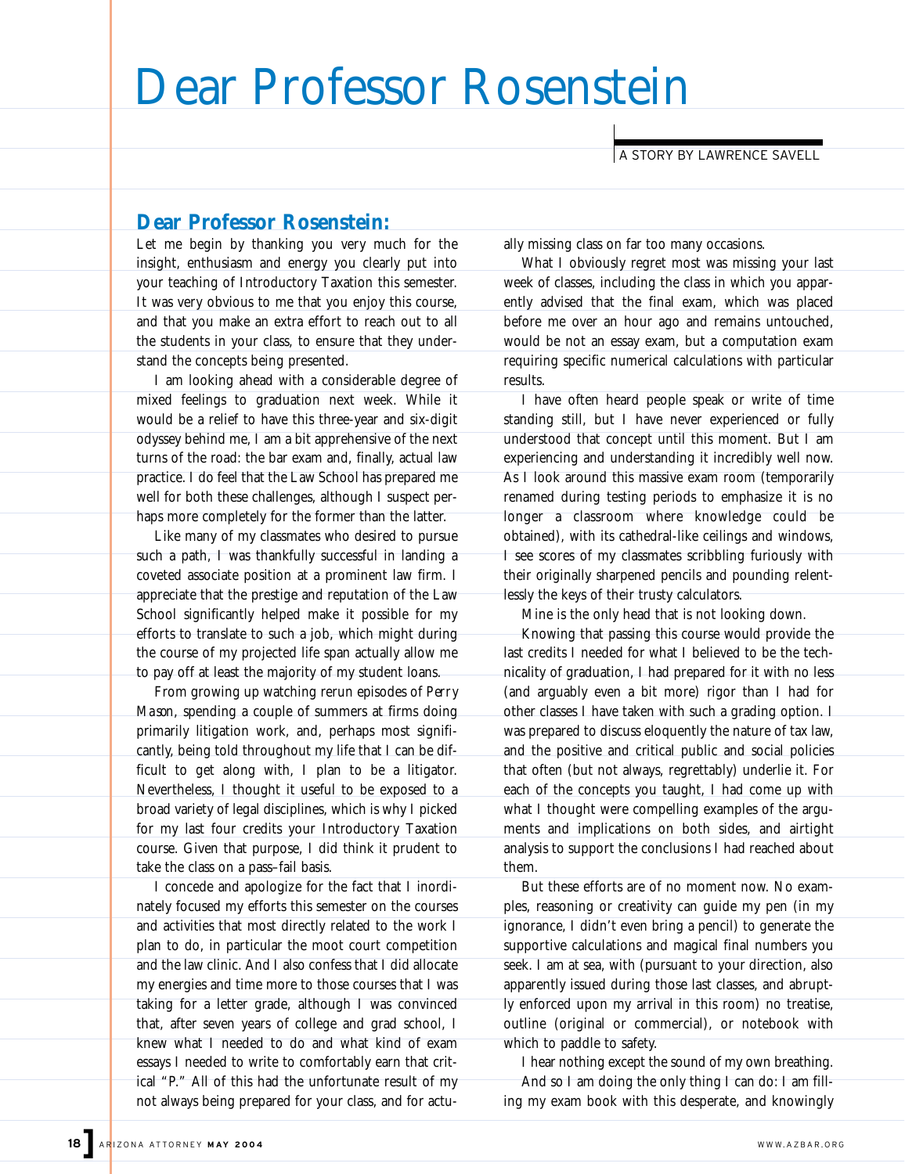## Dear Professor Rosenstein

A STORY BY LAWRENCE SAVELL

## **Dear Professor Rosenstein:**

Let me begin by thanking you very much for the insight, enthusiasm and energy you clearly put into your teaching of Introductory Taxation this semester. It was very obvious to me that you enjoy this course, and that you make an extra effort to reach out to all the students in your class, to ensure that they understand the concepts being presented.

I am looking ahead with a considerable degree of mixed feelings to graduation next week. While it would be a relief to have this three-year and six-digit odyssey behind me, I am a bit apprehensive of the next turns of the road: the bar exam and, finally, actual law practice. I do feel that the Law School has prepared me well for both these challenges, although I suspect perhaps more completely for the former than the latter.

Like many of my classmates who desired to pursue such a path, I was thankfully successful in landing a coveted associate position at a prominent law firm. I appreciate that the prestige and reputation of the Law School significantly helped make it possible for my efforts to translate to such a job, which might during the course of my projected life span actually allow me to pay off at least the majority of my student loans.

From growing up watching rerun episodes of *Perry Mason*, spending a couple of summers at firms doing primarily litigation work, and, perhaps most significantly, being told throughout my life that I can be difficult to get along with, I plan to be a litigator. Nevertheless, I thought it useful to be exposed to a broad variety of legal disciplines, which is why I picked for my last four credits your Introductory Taxation course. Given that purpose, I did think it prudent to take the class on a pass–fail basis.

I concede and apologize for the fact that I inordinately focused my efforts this semester on the courses and activities that most directly related to the work I plan to do, in particular the moot court competition and the law clinic. And I also confess that I did allocate my energies and time more to those courses that I was taking for a letter grade, although I was convinced that, after seven years of college and grad school, I knew what I needed to do and what kind of exam essays I needed to write to comfortably earn that critical "P." All of this had the unfortunate result of my not always being prepared for your class, and for actually missing class on far too many occasions.

What I obviously regret most was missing your last week of classes, including the class in which you apparently advised that the final exam, which was placed before me over an hour ago and remains untouched, would be not an essay exam, but a computation exam requiring specific numerical calculations with particular results.

I have often heard people speak or write of time standing still, but I have never experienced or fully understood that concept until this moment. But I am experiencing and understanding it incredibly well now. As I look around this massive exam room (temporarily renamed during testing periods to emphasize it is no longer a classroom where knowledge could be obtained), with its cathedral-like ceilings and windows, I see scores of my classmates scribbling furiously with their originally sharpened pencils and pounding relentlessly the keys of their trusty calculators.

Mine is the only head that is not looking down.

Knowing that passing this course would provide the last credits I needed for what I believed to be the technicality of graduation, I had prepared for it with no less (and arguably even a bit more) rigor than I had for other classes I have taken with such a grading option. I was prepared to discuss eloquently the nature of tax law, and the positive and critical public and social policies that often (but not always, regrettably) underlie it. For each of the concepts you taught, I had come up with what I thought were compelling examples of the arguments and implications on both sides, and airtight analysis to support the conclusions I had reached about them.

But these efforts are of no moment now. No examples, reasoning or creativity can guide my pen (in my ignorance, I didn't even bring a pencil) to generate the supportive calculations and magical final numbers you seek. I am at sea, with (pursuant to your direction, also apparently issued during those last classes, and abruptly enforced upon my arrival in this room) no treatise, outline (original or commercial), or notebook with which to paddle to safety.

I hear nothing except the sound of my own breathing. And so I am doing the only thing I can do: I am filling my exam book with this desperate, and knowingly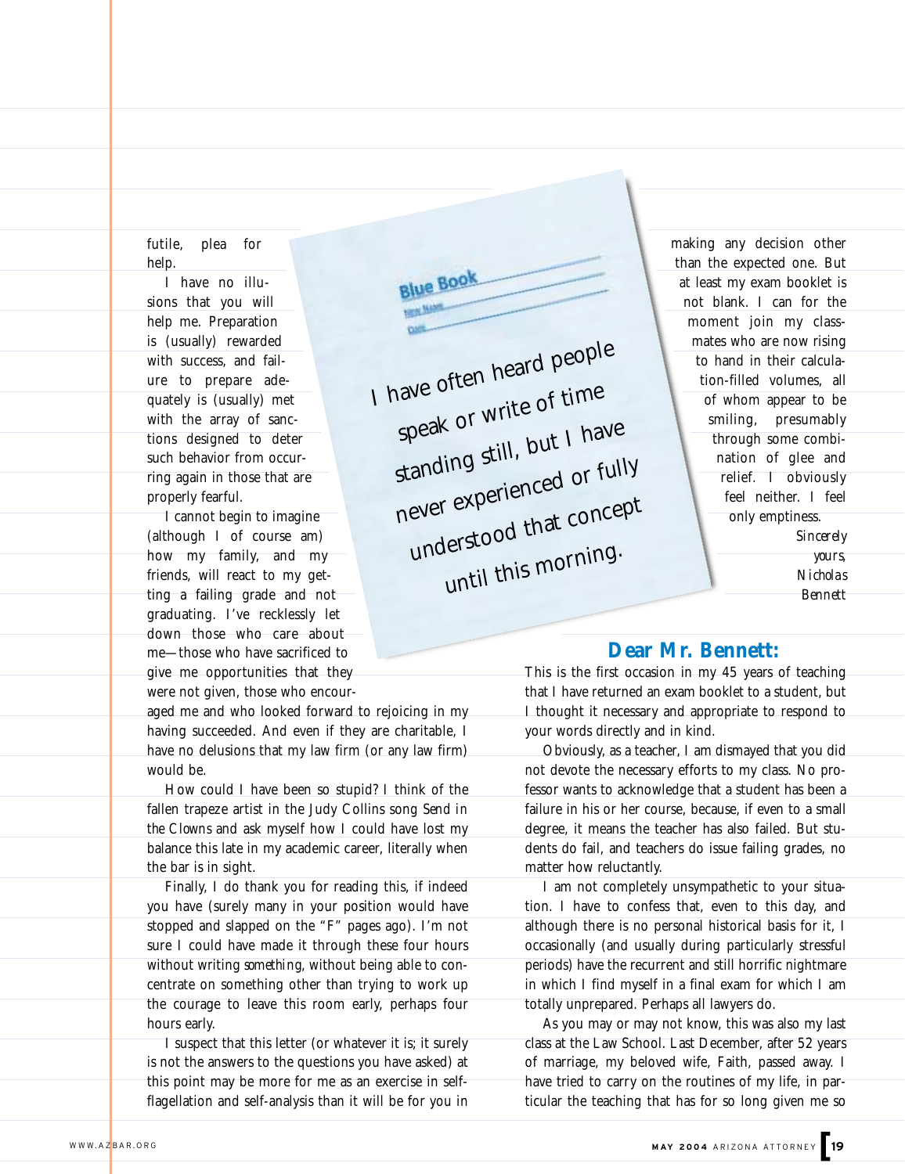futile, plea for help.

I have no illusions that you will help me. Preparation is (usually) rewarded with success, and failure to prepare adequately is (usually) met with the array of sanctions designed to deter such behavior from occurring again in those that are properly fearful.

I cannot begin to imagine (although I of course am) how my family, and my friends, will react to my getting a failing grade and not graduating. I've recklessly let down those who care about me—those who have sacrificed to give me opportunities that they were not given, those who encour-

aged me and who looked forward to rejoicing in my having succeeded. And even if they are charitable, I have no delusions that my law firm (or any law firm) would be.

How could I have been so stupid? I think of the fallen trapeze artist in the Judy Collins song *Send in the Clowns* and ask myself how I could have lost my balance this late in my academic career, literally when the bar is in sight.

Finally, I do thank you for reading this, if indeed you have (surely many in your position would have stopped and slapped on the "F" pages ago). I'm not sure I could have made it through these four hours without writing *something,* without being able to concentrate on something other than trying to work up the courage to leave this room early, perhaps four hours early.

I suspect that this letter (or whatever it is; it surely is not the answers to the questions you have asked) at this point may be more for me as an exercise in selfflagellation and self-analysis than it will be for you in

**Blue Book** I have often heard people speak or write of time standing still, but I have never experienced or fully understood that concept until this morning.

making any decision other than the expected one. But at least my exam booklet is not blank. I can for the moment join my classmates who are now rising to hand in their calculation-filled volumes, all of whom appear to be smiling, presumably through some combination of glee and relief. I obviously feel neither. I feel only emptiness. *Sincerely*

*yours, Nicholas Bennett*

## **Dear Mr. Bennett:**

This is the first occasion in my 45 years of teaching that I have returned an exam booklet to a student, but I thought it necessary and appropriate to respond to your words directly and in kind.

Obviously, as a teacher, I am dismayed that you did not devote the necessary efforts to my class. No professor wants to acknowledge that a student has been a failure in his or her course, because, if even to a small degree, it means the teacher has also failed. But students do fail, and teachers do issue failing grades, no matter how reluctantly.

I am not completely unsympathetic to your situation. I have to confess that, even to this day, and although there is no personal historical basis for it, I occasionally (and usually during particularly stressful periods) have the recurrent and still horrific nightmare in which I find myself in a final exam for which I am totally unprepared. Perhaps all lawyers do.

As you may or may not know, this was also my last class at the Law School. Last December, after 52 years of marriage, my beloved wife, Faith, passed away. I have tried to carry on the routines of my life, in particular the teaching that has for so long given me so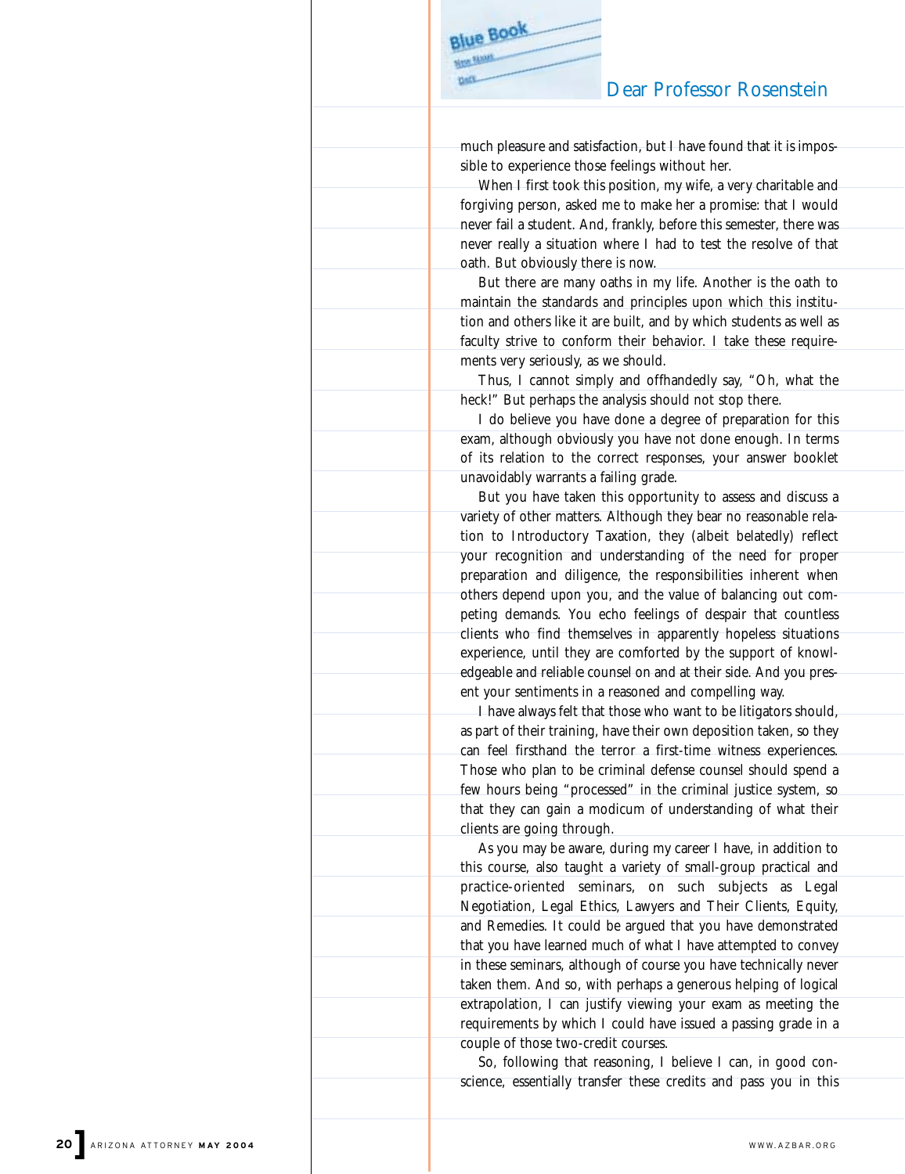## Dear Professor Rosenstein

much pleasure and satisfaction, but I have found that it is impossible to experience those feelings without her.

**Blue Book** 

When I first took this position, my wife, a very charitable and forgiving person, asked me to make her a promise: that I would never fail a student. And, frankly, before this semester, there was never really a situation where I had to test the resolve of that oath. But obviously there is now.

But there are many oaths in my life. Another is the oath to maintain the standards and principles upon which this institution and others like it are built, and by which students as well as faculty strive to conform their behavior. I take these requirements very seriously, as we should.

Thus, I cannot simply and offhandedly say, "Oh, what the heck!" But perhaps the analysis should not stop there.

I do believe you have done a degree of preparation for this exam, although obviously you have not done enough. In terms of its relation to the correct responses, your answer booklet unavoidably warrants a failing grade.

But you have taken this opportunity to assess and discuss a variety of other matters. Although they bear no reasonable relation to Introductory Taxation, they (albeit belatedly) reflect your recognition and understanding of the need for proper preparation and diligence, the responsibilities inherent when others depend upon you, and the value of balancing out competing demands. You echo feelings of despair that countless clients who find themselves in apparently hopeless situations experience, until they are comforted by the support of knowledgeable and reliable counsel on and at their side. And you present your sentiments in a reasoned and compelling way.

I have always felt that those who want to be litigators should, as part of their training, have their own deposition taken, so they can feel firsthand the terror a first-time witness experiences. Those who plan to be criminal defense counsel should spend a few hours being "processed" in the criminal justice system, so that they can gain a modicum of understanding of what their clients are going through.

As you may be aware, during my career I have, in addition to this course, also taught a variety of small-group practical and practice-oriented seminars, on such subjects as Legal Negotiation, Legal Ethics, Lawyers and Their Clients, Equity, and Remedies. It could be argued that you have demonstrated that you have learned much of what I have attempted to convey in these seminars, although of course you have technically never taken them. And so, with perhaps a generous helping of logical extrapolation, I can justify viewing your exam as meeting the requirements by which I could have issued a passing grade in a couple of those two-credit courses.

So, following that reasoning, I believe I can, in good conscience, essentially transfer these credits and pass you in this